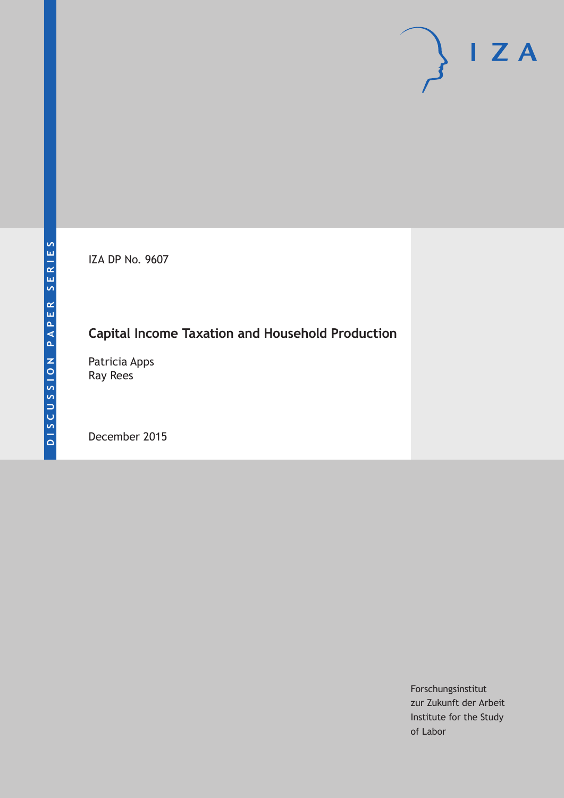IZA DP No. 9607

# **Capital Income Taxation and Household Production**

Patricia Apps Ray Rees

December 2015

Forschungsinstitut zur Zukunft der Arbeit Institute for the Study of Labor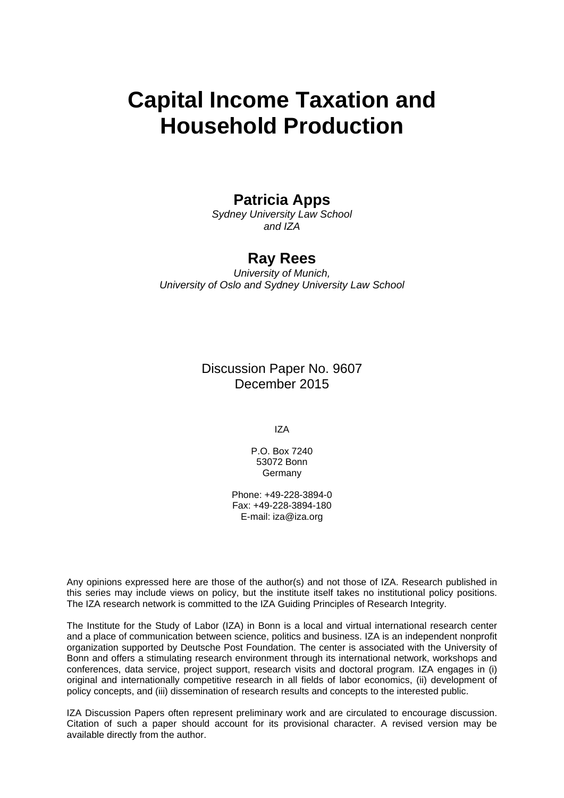# **Capital Income Taxation and Household Production**

### **Patricia Apps**

*Sydney University Law School and IZA* 

## **Ray Rees**

*University of Munich, University of Oslo and Sydney University Law School* 

> Discussion Paper No. 9607 December 2015

> > IZA

P.O. Box 7240 53072 Bonn Germany

Phone: +49-228-3894-0 Fax: +49-228-3894-180 E-mail: iza@iza.org

Any opinions expressed here are those of the author(s) and not those of IZA. Research published in this series may include views on policy, but the institute itself takes no institutional policy positions. The IZA research network is committed to the IZA Guiding Principles of Research Integrity.

The Institute for the Study of Labor (IZA) in Bonn is a local and virtual international research center and a place of communication between science, politics and business. IZA is an independent nonprofit organization supported by Deutsche Post Foundation. The center is associated with the University of Bonn and offers a stimulating research environment through its international network, workshops and conferences, data service, project support, research visits and doctoral program. IZA engages in (i) original and internationally competitive research in all fields of labor economics, (ii) development of policy concepts, and (iii) dissemination of research results and concepts to the interested public.

IZA Discussion Papers often represent preliminary work and are circulated to encourage discussion. Citation of such a paper should account for its provisional character. A revised version may be available directly from the author.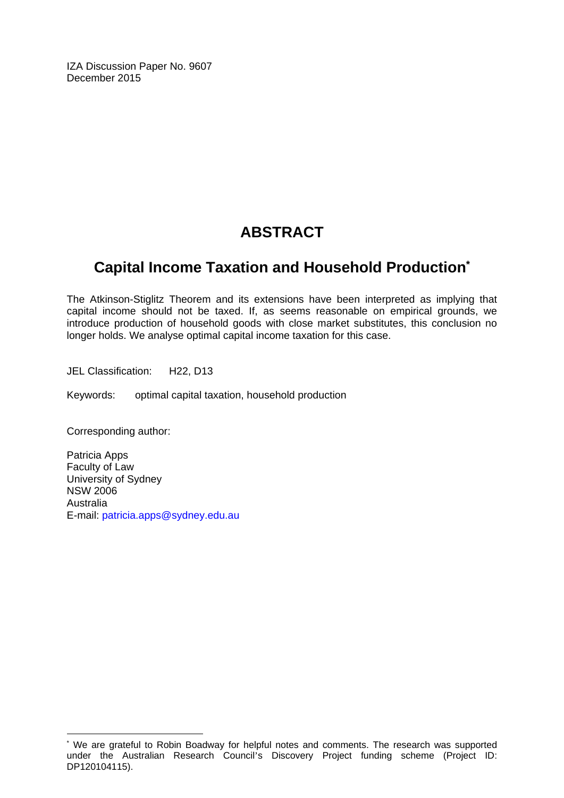IZA Discussion Paper No. 9607 December 2015

# **ABSTRACT**

# **Capital Income Taxation and Household Production\***

The Atkinson-Stiglitz Theorem and its extensions have been interpreted as implying that capital income should not be taxed. If, as seems reasonable on empirical grounds, we introduce production of household goods with close market substitutes, this conclusion no longer holds. We analyse optimal capital income taxation for this case.

JEL Classification: H22, D13

Keywords: optimal capital taxation, household production

Corresponding author:

 $\overline{\phantom{a}}$ 

Patricia Apps Faculty of Law University of Sydney NSW 2006 Australia E-mail: patricia.apps@sydney.edu.au

<sup>\*</sup> We are grateful to Robin Boadway for helpful notes and comments. The research was supported under the Australian Research Council's Discovery Project funding scheme (Project ID: DP120104115).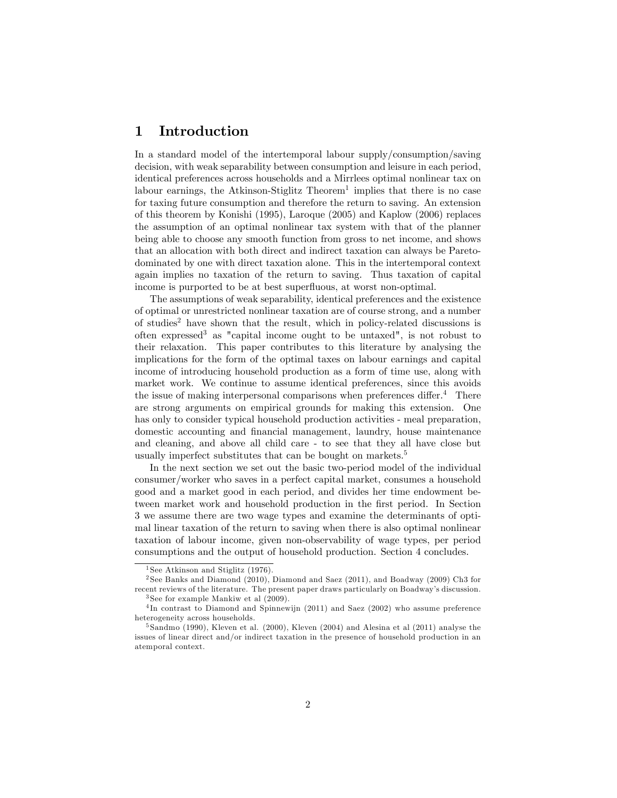#### 1 Introduction

In a standard model of the intertemporal labour supply/consumption/saving decision, with weak separability between consumption and leisure in each period, identical preferences across households and a Mirrlees optimal nonlinear tax on labour earnings, the Atkinson-Stiglitz Theorem<sup>1</sup> implies that there is no case for taxing future consumption and therefore the return to saving. An extension of this theorem by Konishi (1995), Laroque (2005) and Kaplow (2006) replaces the assumption of an optimal nonlinear tax system with that of the planner being able to choose any smooth function from gross to net income, and shows that an allocation with both direct and indirect taxation can always be Paretodominated by one with direct taxation alone. This in the intertemporal context again implies no taxation of the return to saving. Thus taxation of capital income is purported to be at best superfluous, at worst non-optimal.

The assumptions of weak separability, identical preferences and the existence of optimal or unrestricted nonlinear taxation are of course strong, and a number of studies<sup>2</sup> have shown that the result, which in policy-related discussions is often expressed<sup>3</sup> as "capital income ought to be untaxed", is not robust to their relaxation. This paper contributes to this literature by analysing the implications for the form of the optimal taxes on labour earnings and capital income of introducing household production as a form of time use, along with market work. We continue to assume identical preferences, since this avoids the issue of making interpersonal comparisons when preferences differ.<sup>4</sup> There are strong arguments on empirical grounds for making this extension. One has only to consider typical household production activities - meal preparation, domestic accounting and financial management, laundry, house maintenance and cleaning, and above all child care - to see that they all have close but usually imperfect substitutes that can be bought on markets.<sup>5</sup>

In the next section we set out the basic two-period model of the individual consumer/worker who saves in a perfect capital market, consumes a household good and a market good in each period, and divides her time endowment between market work and household production in the first period. In Section 3 we assume there are two wage types and examine the determinants of optimal linear taxation of the return to saving when there is also optimal nonlinear taxation of labour income, given non-observability of wage types, per period consumptions and the output of household production. Section 4 concludes.

<sup>&</sup>lt;sup>1</sup> See Atkinson and Stiglitz  $(1976)$ .

<sup>2</sup> See Banks and Diamond (2010), Diamond and Saez (2011), and Boadway (2009) Ch3 for recent reviews of the literature. The present paper draws particularly on Boadway's discussion.

<sup>3</sup> See for example Mankiw et al (2009).

<sup>&</sup>lt;sup>4</sup>In contrast to Diamond and Spinnewijn (2011) and Saez (2002) who assume preference heterogeneity across households.

<sup>5</sup> Sandmo (1990), Kleven et al. (2000), Kleven (2004) and Alesina et al (2011) analyse the issues of linear direct and/or indirect taxation in the presence of household production in an atemporal context.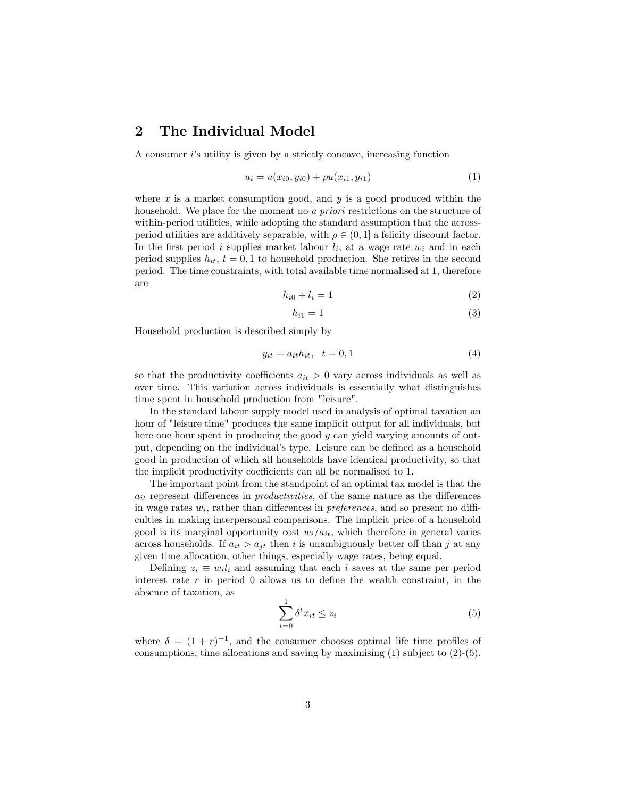#### 2 The Individual Model

A consumer  $i$ 's utility is given by a strictly concave, increasing function

$$
u_i = u(x_{i0}, y_{i0}) + \rho u(x_{i1}, y_{i1})
$$
\n(1)

where  $x$  is a market consumption good, and  $y$  is a good produced within the household. We place for the moment no a *priori* restrictions on the structure of within-period utilities, while adopting the standard assumption that the acrossperiod utilities are additively separable, with  $\rho \in (0, 1]$  a felicity discount factor. In the first period i supplies market labour  $l_i$ , at a wage rate  $w_i$  and in each period supplies  $h_{it}$ ,  $t = 0, 1$  to household production. She retires in the second period. The time constraints, with total available time normalised at 1, therefore are

$$
h_{i0} + l_i = 1 \tag{2}
$$

$$
h_{i1} = 1 \tag{3}
$$

Household production is described simply by

$$
y_{it} = a_{it}h_{it}, \quad t = 0, 1 \tag{4}
$$

so that the productivity coefficients  $a_{it} > 0$  vary across individuals as well as over time. This variation across individuals is essentially what distinguishes time spent in household production from "leisure".

In the standard labour supply model used in analysis of optimal taxation an hour of "leisure time" produces the same implicit output for all individuals, but here one hour spent in producing the good y can yield varying amounts of output, depending on the individual's type. Leisure can be defined as a household good in production of which all households have identical productivity, so that the implicit productivity coefficients can all be normalised to 1.

The important point from the standpoint of an optimal tax model is that the  $a_{it}$  represent differences in *productivities*, of the same nature as the differences in wage rates  $w_i$ , rather than differences in *preferences*, and so present no difficulties in making interpersonal comparisons. The implicit price of a household good is its marginal opportunity cost  $w_i/a_{it}$ , which therefore in general varies across households. If  $a_{it} > a_{it}$  then i is unambiguously better off than j at any given time allocation, other things, especially wage rates, being equal.

Defining  $z_i \equiv w_i l_i$  and assuming that each i saves at the same per period interest rate  $r$  in period 0 allows us to define the wealth constraint, in the absence of taxation, as

$$
\sum_{t=0}^{1} \delta^t x_{it} \le z_i \tag{5}
$$

where  $\delta = (1+r)^{-1}$ , and the consumer chooses optimal life time profiles of consumptions, time allocations and saving by maximising (1) subject to (2)-(5).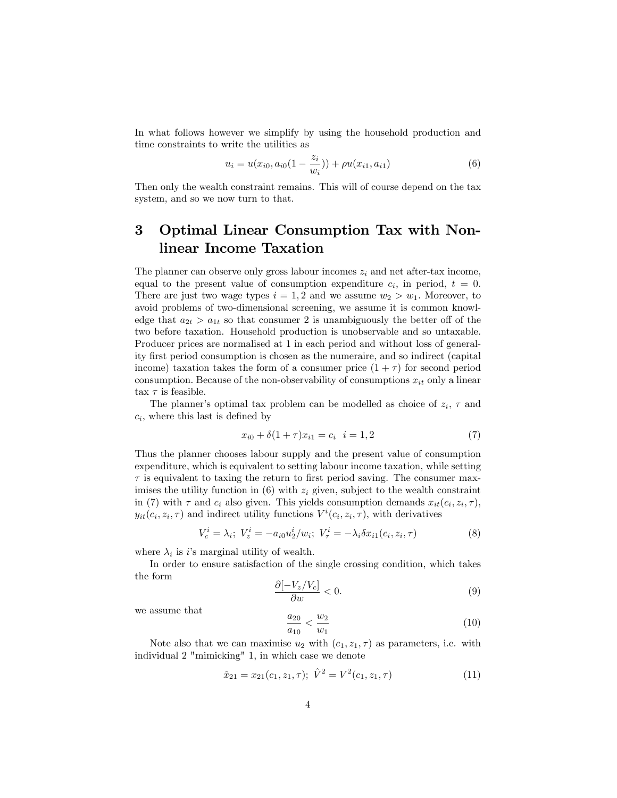In what follows however we simplify by using the household production and time constraints to write the utilities as

$$
u_i = u(x_{i0}, a_{i0}(1 - \frac{z_i}{w_i})) + \rho u(x_{i1}, a_{i1})
$$
\n(6)

Then only the wealth constraint remains. This will of course depend on the tax system, and so we now turn to that.

## 3 Optimal Linear Consumption Tax with Nonlinear Income Taxation

The planner can observe only gross labour incomes  $z_i$  and net after-tax income, equal to the present value of consumption expenditure  $c_i$ , in period,  $t = 0$ . There are just two wage types  $i = 1, 2$  and we assume  $w_2 > w_1$ . Moreover, to avoid problems of two-dimensional screening, we assume it is common knowledge that  $a_{2t} > a_{1t}$  so that consumer 2 is unambiguously the better off of the two before taxation. Household production is unobservable and so untaxable. Producer prices are normalised at 1 in each period and without loss of generality Örst period consumption is chosen as the numeraire, and so indirect (capital income) taxation takes the form of a consumer price  $(1 + \tau)$  for second period consumption. Because of the non-observability of consumptions  $x_{it}$  only a linear tax  $\tau$  is feasible.

The planner's optimal tax problem can be modelled as choice of  $z_i$ ,  $\tau$  and  $c_i$ , where this last is defined by

$$
x_{i0} + \delta(1+\tau)x_{i1} = c_i \quad i = 1,2 \tag{7}
$$

Thus the planner chooses labour supply and the present value of consumption expenditure, which is equivalent to setting labour income taxation, while setting  $\tau$  is equivalent to taxing the return to first period saving. The consumer maximises the utility function in  $(6)$  with  $z_i$  given, subject to the wealth constraint in (7) with  $\tau$  and  $c_i$  also given. This yields consumption demands  $x_{it}(c_i, z_i, \tau)$ ,  $y_{it}(c_i, z_i, \tau)$  and indirect utility functions  $V^i(c_i, z_i, \tau)$ , with derivatives

$$
V_c^i = \lambda_i; \ V_z^i = -a_{i0}u_2^i/w_i; \ V_\tau^i = -\lambda_i \delta x_{i1}(c_i, z_i, \tau)
$$
 (8)

where  $\lambda_i$  is i's marginal utility of wealth.

In order to ensure satisfaction of the single crossing condition, which takes the form

$$
\frac{\partial[-V_z/V_c]}{\partial w} < 0. \tag{9}
$$

we assume that

$$
\frac{a_{20}}{a_{10}} < \frac{w_2}{w_1} \tag{10}
$$

Note also that we can maximise  $u_2$  with  $(c_1, z_1, \tau)$  as parameters, i.e. with individual 2 "mimicking" 1, in which case we denote

$$
\hat{x}_{21} = x_{21}(c_1, z_1, \tau); \ \hat{V}^2 = V^2(c_1, z_1, \tau) \tag{11}
$$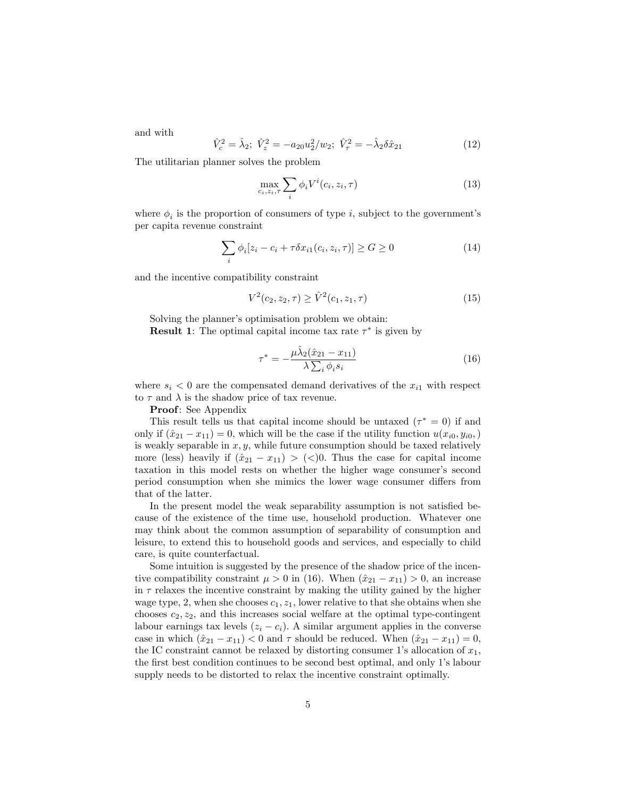and with

$$
\hat{V}_c^2 = \hat{\lambda}_2; \ \hat{V}_z^2 = -a_{20}u_2^2/w_2; \ \hat{V}_\tau^2 = -\hat{\lambda}_2 \delta \hat{x}_{21} \tag{12}
$$

The utilitarian planner solves the problem

$$
\max_{c_i, z_i, \tau} \sum_i \phi_i V^i(c_i, z_i, \tau) \tag{13}
$$

where  $\phi_i$  is the proportion of consumers of type i, subject to the government's per capita revenue constraint

$$
\sum_{i} \phi_i [z_i - c_i + \tau \delta x_{i1}(c_i, z_i, \tau)] \ge G \ge 0
$$
\n(14)

and the incentive compatibility constraint

$$
V^2(c_2, z_2, \tau) \ge \hat{V}^2(c_1, z_1, \tau) \tag{15}
$$

Solving the planner's optimisation problem we obtain: **Result 1**: The optimal capital income tax rate  $\tau^*$  is given by

$$
\tau^* = -\frac{\mu \hat{\lambda}_2 (\hat{x}_{21} - x_{11})}{\lambda \sum_i \phi_i s_i} \tag{16}
$$

where  $s_i < 0$  are the compensated demand derivatives of the  $x_{i1}$  with respect to  $\tau$  and  $\lambda$  is the shadow price of tax revenue.

Proof: See Appendix

This result tells us that capital income should be untaxed  $(\tau^* = 0)$  if and only if  $(\hat{x}_{21} - x_{11}) = 0$ , which will be the case if the utility function  $u(x_{i0}, y_{i0},)$ is weakly separable in  $x, y$ , while future consumption should be taxed relatively more (less) heavily if  $(\hat{x}_{21} - x_{11}) > (\leq)0$ . Thus the case for capital income taxation in this model rests on whether the higher wage consumer's second period consumption when she mimics the lower wage consumer differs from that of the latter.

In the present model the weak separability assumption is not satisfied because of the existence of the time use, household production. Whatever one may think about the common assumption of separability of consumption and leisure, to extend this to household goods and services, and especially to child care, is quite counterfactual.

Some intuition is suggested by the presence of the shadow price of the incentive compatibility constraint  $\mu > 0$  in (16). When  $(\hat{x}_{21} - x_{11}) > 0$ , an increase in  $\tau$  relaxes the incentive constraint by making the utility gained by the higher wage type, 2, when she chooses  $c_1$ ,  $z_1$ , lower relative to that she obtains when she chooses  $c_2, z_2$ , and this increases social welfare at the optimal type-contingent labour earnings tax levels  $(z_i - c_i)$ . A similar argument applies in the converse case in which  $(\hat{x}_{21} - x_{11}) < 0$  and  $\tau$  should be reduced. When  $(\hat{x}_{21} - x_{11}) = 0$ , the IC constraint cannot be relaxed by distorting consumer 1's allocation of  $x_1$ , the first best condition continues to be second best optimal, and only 1's labour supply needs to be distorted to relax the incentive constraint optimally.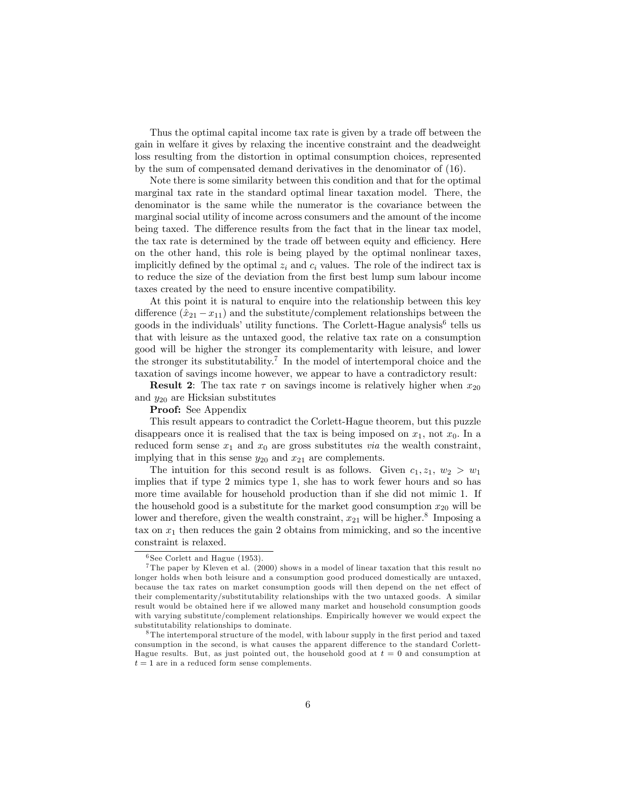Thus the optimal capital income tax rate is given by a trade off between the gain in welfare it gives by relaxing the incentive constraint and the deadweight loss resulting from the distortion in optimal consumption choices, represented by the sum of compensated demand derivatives in the denominator of (16).

Note there is some similarity between this condition and that for the optimal marginal tax rate in the standard optimal linear taxation model. There, the denominator is the same while the numerator is the covariance between the marginal social utility of income across consumers and the amount of the income being taxed. The difference results from the fact that in the linear tax model, the tax rate is determined by the trade off between equity and efficiency. Here on the other hand, this role is being played by the optimal nonlinear taxes, implicitly defined by the optimal  $z_i$  and  $c_i$  values. The role of the indirect tax is to reduce the size of the deviation from the first best lump sum labour income taxes created by the need to ensure incentive compatibility.

At this point it is natural to enquire into the relationship between this key difference  $(\hat{x}_{21} - x_{11})$  and the substitute/complement relationships between the goods in the individuals' utility functions. The Corlett-Hague analysis<sup>6</sup> tells us that with leisure as the untaxed good, the relative tax rate on a consumption good will be higher the stronger its complementarity with leisure, and lower the stronger its substitutability.<sup>7</sup> In the model of intertemporal choice and the taxation of savings income however, we appear to have a contradictory result:

**Result 2:** The tax rate  $\tau$  on savings income is relatively higher when  $x_{20}$ and  $y_{20}$  are Hicksian substitutes

Proof: See Appendix

This result appears to contradict the Corlett-Hague theorem, but this puzzle disappears once it is realised that the tax is being imposed on  $x_1$ , not  $x_0$ . In a reduced form sense  $x_1$  and  $x_0$  are gross substitutes *via* the wealth constraint, implying that in this sense  $y_{20}$  and  $x_{21}$  are complements.

The intuition for this second result is as follows. Given  $c_1, z_1, w_2 > w_1$ implies that if type 2 mimics type 1, she has to work fewer hours and so has more time available for household production than if she did not mimic 1. If the household good is a substitute for the market good consumption  $x_{20}$  will be lower and therefore, given the wealth constraint,  $x_{21}$  will be higher.<sup>8</sup> Imposing a tax on  $x_1$  then reduces the gain 2 obtains from mimicking, and so the incentive constraint is relaxed.

 $6$  See Corlett and Hague (1953).

<sup>7</sup> The paper by Kleven et al. (2000) shows in a model of linear taxation that this result no longer holds when both leisure and a consumption good produced domestically are untaxed, because the tax rates on market consumption goods will then depend on the net effect of their complementarity/substitutability relationships with the two untaxed goods. A similar result would be obtained here if we allowed many market and household consumption goods with varying substitute/complement relationships. Empirically however we would expect the substitutability relationships to dominate.

<sup>&</sup>lt;sup>8</sup>The intertemporal structure of the model, with labour supply in the first period and taxed consumption in the second, is what causes the apparent difference to the standard Corlett-Hague results. But, as just pointed out, the household good at  $t = 0$  and consumption at  $t = 1$  are in a reduced form sense complements.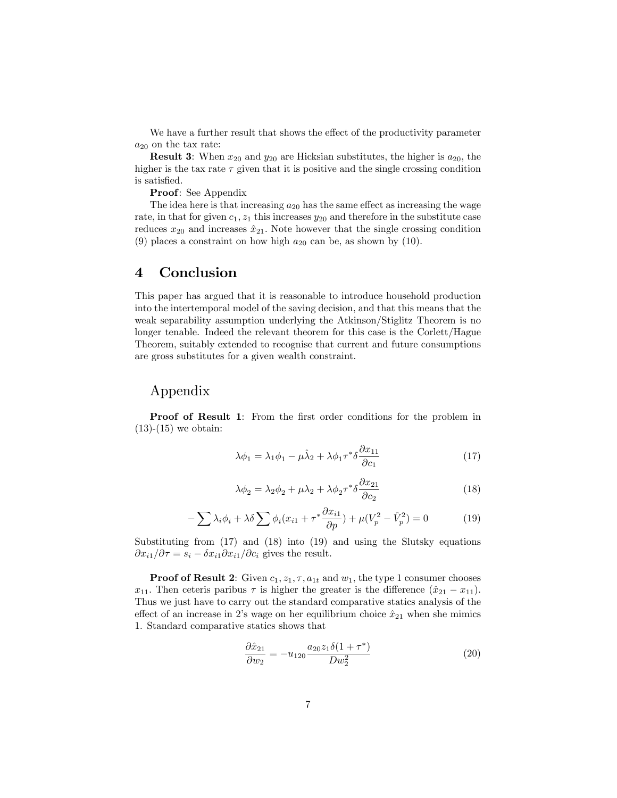We have a further result that shows the effect of the productivity parameter  $a_{20}$  on the tax rate:

**Result 3:** When  $x_{20}$  and  $y_{20}$  are Hicksian substitutes, the higher is  $a_{20}$ , the higher is the tax rate  $\tau$  given that it is positive and the single crossing condition is satisfied.

Proof: See Appendix

The idea here is that increasing  $a_{20}$  has the same effect as increasing the wage rate, in that for given  $c_1$ ,  $z_1$  this increases  $y_{20}$  and therefore in the substitute case reduces  $x_{20}$  and increases  $\hat{x}_{21}$ . Note however that the single crossing condition (9) places a constraint on how high  $a_{20}$  can be, as shown by (10).

#### 4 Conclusion

This paper has argued that it is reasonable to introduce household production into the intertemporal model of the saving decision, and that this means that the weak separability assumption underlying the Atkinson/Stiglitz Theorem is no longer tenable. Indeed the relevant theorem for this case is the Corlett/Hague Theorem, suitably extended to recognise that current and future consumptions are gross substitutes for a given wealth constraint.

#### Appendix

**Proof of Result 1:** From the first order conditions for the problem in  $(13)-(15)$  we obtain:

$$
\lambda \phi_1 = \lambda_1 \phi_1 - \mu \hat{\lambda}_2 + \lambda \phi_1 \tau^* \delta \frac{\partial x_{11}}{\partial c_1} \tag{17}
$$

$$
\lambda \phi_2 = \lambda_2 \phi_2 + \mu \lambda_2 + \lambda \phi_2 \tau^* \delta \frac{\partial x_{21}}{\partial c_2} \tag{18}
$$

$$
-\sum \lambda_i \phi_i + \lambda \delta \sum \phi_i (x_{i1} + \tau^* \frac{\partial x_{i1}}{\partial p}) + \mu (V_p^2 - \hat{V}_p^2) = 0 \tag{19}
$$

Substituting from (17) and (18) into (19) and using the Slutsky equations  $\frac{\partial x_{i1}}{\partial \tau} = s_i - \frac{\delta x_{i1}}{\partial x_{i1}}$  / $\frac{\partial c_i}{\partial \tau}$  gives the result.

**Proof of Result 2:** Given  $c_1$ ,  $z_1$ ,  $\tau$ ,  $a_{1t}$  and  $w_1$ , the type 1 consumer chooses  $x_{11}$ . Then ceteris paribus  $\tau$  is higher the greater is the difference  $(\hat{x}_{21} - x_{11})$ . Thus we just have to carry out the standard comparative statics analysis of the effect of an increase in 2's wage on her equilibrium choice  $\hat{x}_{21}$  when she mimics 1. Standard comparative statics shows that

$$
\frac{\partial \hat{x}_{21}}{\partial w_2} = -u_{120} \frac{a_{20} z_1 \delta (1 + \tau^*)}{D w_2^2} \tag{20}
$$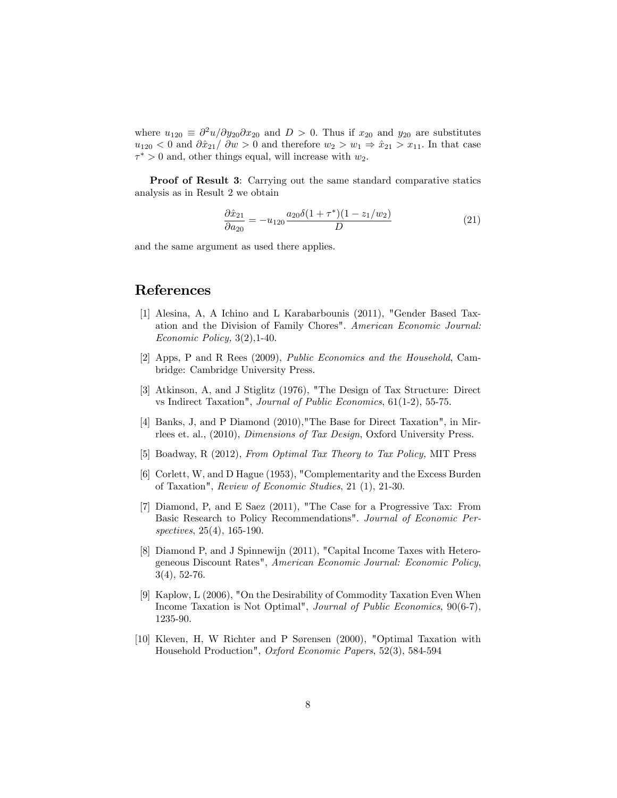where  $u_{120} \equiv \partial^2 u / \partial y_{20} \partial x_{20}$  and  $D > 0$ . Thus if  $x_{20}$  and  $y_{20}$  are substitutes  $u_{120} < 0$  and  $\partial \hat{x}_{21}/\partial w > 0$  and therefore  $w_2 > w_1 \Rightarrow \hat{x}_{21} > x_{11}$ . In that case  $\tau^* > 0$  and, other things equal, will increase with  $w_2$ .

**Proof of Result 3:** Carrying out the same standard comparative statics analysis as in Result 2 we obtain

$$
\frac{\partial \hat{x}_{21}}{\partial a_{20}} = -u_{120} \frac{a_{20} \delta (1 + \tau^*)(1 - z_1/w_2)}{D} \tag{21}
$$

and the same argument as used there applies.

### References

- [1] Alesina, A, A Ichino and L Karabarbounis (2011), "Gender Based Taxation and the Division of Family Chores". American Economic Journal: Economic Policy, 3(2),1-40.
- [2] Apps, P and R Rees (2009), Public Economics and the Household, Cambridge: Cambridge University Press.
- [3] Atkinson, A, and J Stiglitz (1976), "The Design of Tax Structure: Direct vs Indirect Taxation", Journal of Public Economics, 61(1-2), 55-75.
- [4] Banks, J, and P Diamond (2010),"The Base for Direct Taxation", in Mirrlees et. al., (2010), Dimensions of Tax Design, Oxford University Press.
- [5] Boadway, R (2012), From Optimal Tax Theory to Tax Policy, MIT Press
- [6] Corlett, W, and D Hague (1953), "Complementarity and the Excess Burden of Taxation", Review of Economic Studies, 21 (1), 21-30.
- [7] Diamond, P, and E Saez (2011), "The Case for a Progressive Tax: From Basic Research to Policy Recommendations". Journal of Economic Perspectives, 25(4), 165-190.
- [8] Diamond P, and J Spinnewijn (2011), "Capital Income Taxes with Heterogeneous Discount Rates", American Economic Journal: Economic Policy, 3(4), 52-76.
- [9] Kaplow, L (2006), "On the Desirability of Commodity Taxation Even When Income Taxation is Not Optimal", Journal of Public Economics, 90(6-7), 1235-90.
- [10] Kleven, H, W Richter and P Sørensen (2000), "Optimal Taxation with Household Production", Oxford Economic Papers, 52(3), 584-594